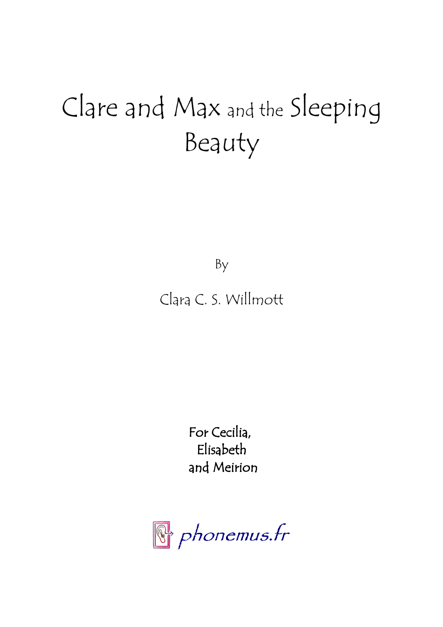# Clare and Max and the Sleeping Beauty

By

## Clara C. S. Willmott

For Cecilia, Elisabeth and Meirion

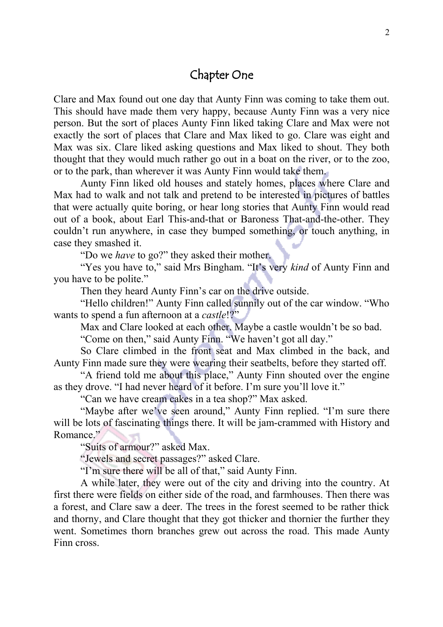#### Chapter One

Clare and Max found out one day that Aunty Finn was coming to take them out. This should have made them very happy, because Aunty Finn was a very nice person. But the sort of places Aunty Finn liked taking Clare and Max were not exactly the sort of places that Clare and Max liked to go. Clare was eight and Max was six. Clare liked asking questions and Max liked to shout. They both thought that they would much rather go out in a boat on the river, or to the zoo, or to the park, than wherever it was Aunty Finn would take them.

Aunty Finn liked old houses and stately homes, places where Clare and Max had to walk and not talk and pretend to be interested in pictures of battles that were actually quite boring, or hear long stories that Aunty Finn would read out of a book, about Earl This-and-that or Baroness That-and-the-other. They couldn't run anywhere, in case they bumped something, or touch anything, in case they smashed it.

"Do we *have* to go?" they asked their mother.

"Yes you have to," said Mrs Bingham. "It's very *kind* of Aunty Finn and you have to be polite."

Then they heard Aunty Finn's car on the drive outside.

"Hello children!" Aunty Finn called sunnily out of the car window. "Who wants to spend a fun afternoon at a *castle*!?"

Max and Clare looked at each other. Maybe a castle wouldn't be so bad.

"Come on then," said Aunty Finn. "We haven't got all day."

So Clare climbed in the front seat and Max climbed in the back, and Aunty Finn made sure they were wearing their seatbelts, before they started off.

"A friend told me about this place," Aunty Finn shouted over the engine as they drove. "I had never heard of it before. I'm sure you'll love it."

"Can we have cream cakes in a tea shop?" Max asked.

"Maybe after we've seen around," Aunty Finn replied. "I'm sure there will be lots of fascinating things there. It will be jam-crammed with History and Romance."

"Suits of armour?" asked Max.

"Jewels and secret passages?" asked Clare.

"I'm sure there will be all of that," said Aunty Finn.

A while later, they were out of the city and driving into the country. At first there were fields on either side of the road, and farmhouses. Then there was a forest, and Clare saw a deer. The trees in the forest seemed to be rather thick and thorny, and Clare thought that they got thicker and thornier the further they went. Sometimes thorn branches grew out across the road. This made Aunty Finn cross.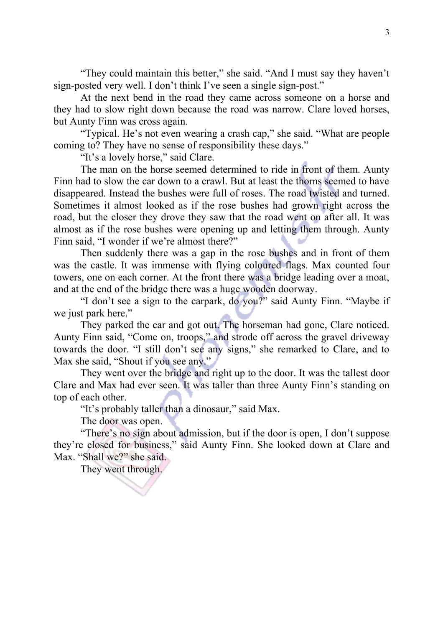"They could maintain this better," she said. "And I must say they haven't sign-posted very well. I don't think I've seen a single sign-post."

At the next bend in the road they came across someone on a horse and they had to slow right down because the road was narrow. Clare loved horses, but Aunty Finn was cross again.

"Typical. He's not even wearing a crash cap," she said. "What are people coming to? They have no sense of responsibility these days."

"It's a lovely horse," said Clare.

The man on the horse seemed determined to ride in front of them. Aunty Finn had to slow the car down to a crawl. But at least the thorns seemed to have disappeared. Instead the bushes were full of roses. The road twisted and turned. Sometimes it almost looked as if the rose bushes had grown right across the road, but the closer they drove they saw that the road went on after all. It was almost as if the rose bushes were opening up and letting them through. Aunty Finn said, "I wonder if we're almost there?"

Then suddenly there was a gap in the rose bushes and in front of them was the castle. It was immense with flying coloured flags. Max counted four towers, one on each corner. At the front there was a bridge leading over a moat, and at the end of the bridge there was a huge wooden doorway.

"I don't see a sign to the carpark, do you?" said Aunty Finn. "Maybe if we just park here."

They parked the car and got out. The horseman had gone, Clare noticed. Aunty Finn said, "Come on, troops," and strode off across the gravel driveway towards the door. "I still don't see any signs," she remarked to Clare, and to Max she said, "Shout if you see any."

They went over the bridge and right up to the door. It was the tallest door Clare and Max had ever seen. It was taller than three Aunty Finn's standing on top of each other.

"It's probably taller than a dinosaur," said Max.

The door was open.

"There's no sign about admission, but if the door is open, I don't suppose they're closed for business," said Aunty Finn. She looked down at Clare and Max. "Shall we?" she said.

They went through.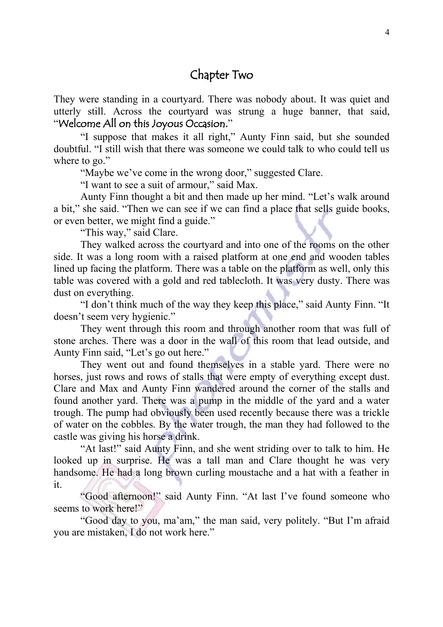#### Chapter Two

They were standing in a courtyard. There was nobody about. It was quiet and utterly still. Across the courtyard was strung a huge banner, that said, "Welcome All on this Joyous Occasion."

"I suppose that makes it all right," Aunty Finn said, but she sounded doubtful. "I still wish that there was someone we could talk to who could tell us where to go."

"Maybe we've come in the wrong door," suggested Clare.

"I want to see a suit of armour," said Max.

Aunty Finn thought a bit and then made up her mind. "Let's walk around a bit," she said. "Then we can see if we can find a place that sells guide books, or even better, we might find a guide."

"This way," said Clare.

They walked across the courtyard and into one of the rooms on the other side. It was a long room with a raised platform at one end and wooden tables lined up facing the platform. There was a table on the platform as well, only this table was covered with a gold and red tablecloth. It was very dusty. There was dust on everything.

"I don't think much of the way they keep this place," said Aunty Finn. "It doesn't seem very hygienic."

They went through this room and through another room that was full of stone arches. There was a door in the wall of this room that lead outside, and Aunty Finn said, "Let's go out here."

They went out and found themselves in a stable yard. There were no horses, just rows and rows of stalls that were empty of everything except dust. Clare and Max and Aunty Finn wandered around the corner of the stalls and found another yard. There was a pump in the middle of the yard and a water trough. The pump had obviously been used recently because there was a trickle of water on the cobbles. By the water trough, the man they had followed to the castle was giving his horse a drink.

"At last!" said Aunty Finn, and she went striding over to talk to him. He looked up in surprise. He was a tall man and Clare thought he was very handsome. He had a long brown curling moustache and a hat with a feather in it.

"Good afternoon!" said Aunty Finn. "At last I've found someone who seems to work here!"

"Good day to you, ma'am," the man said, very politely. "But I'm afraid you are mistaken, I do not work here."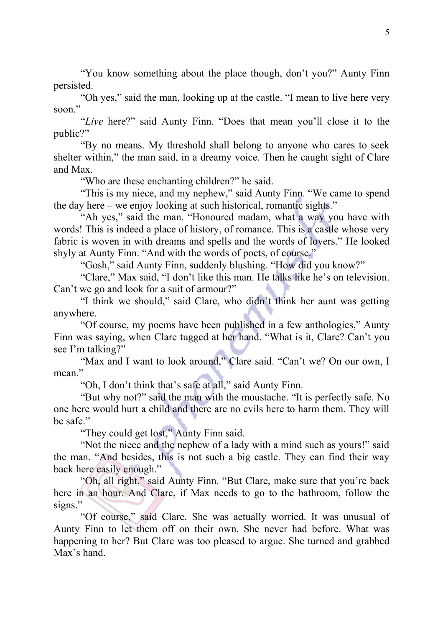"You know something about the place though, don't you?" Aunty Finn persisted.

"Oh yes," said the man, looking up at the castle. "I mean to live here very soon."

"*Live* here?" said Aunty Finn. "Does that mean you'll close it to the public?"

"By no means. My threshold shall belong to anyone who cares to seek shelter within," the man said, in a dreamy voice. Then he caught sight of Clare and Max.

"Who are these enchanting children?" he said.

"This is my niece, and my nephew," said Aunty Finn. "We came to spend the day here – we enjoy looking at such historical, romantic sights."

"Ah yes," said the man. "Honoured madam, what a way you have with words! This is indeed a place of history, of romance. This is a castle whose very fabric is woven in with dreams and spells and the words of lovers." He looked shyly at Aunty Finn. "And with the words of poets, of course."

"Gosh," said Aunty Finn, suddenly blushing. "How did you know?"

"Clare," Max said, "I don't like this man. He talks like he's on television. Can't we go and look for a suit of armour?"

"I think we should," said Clare, who didn't think her aunt was getting anywhere.

"Of course, my poems have been published in a few anthologies," Aunty Finn was saying, when Clare tugged at her hand. "What is it, Clare? Can't you see I'm talking?"

"Max and I want to look around," Clare said. "Can't we? On our own, I mean."

"Oh, I don't think that's safe at all," said Aunty Finn.

"But why not?" said the man with the moustache. "It is perfectly safe. No one here would hurt a child and there are no evils here to harm them. They will be safe."

"They could get lost," Aunty Finn said.

"Not the niece and the nephew of a lady with a mind such as yours!" said the man. "And besides, this is not such a big castle. They can find their way back here easily enough."

"Oh, all right," said Aunty Finn. "But Clare, make sure that you're back here in an hour. And Clare, if Max needs to go to the bathroom, follow the signs."

"Of course," said Clare. She was actually worried. It was unusual of Aunty Finn to let them off on their own. She never had before. What was happening to her? But Clare was too pleased to argue. She turned and grabbed Max's hand.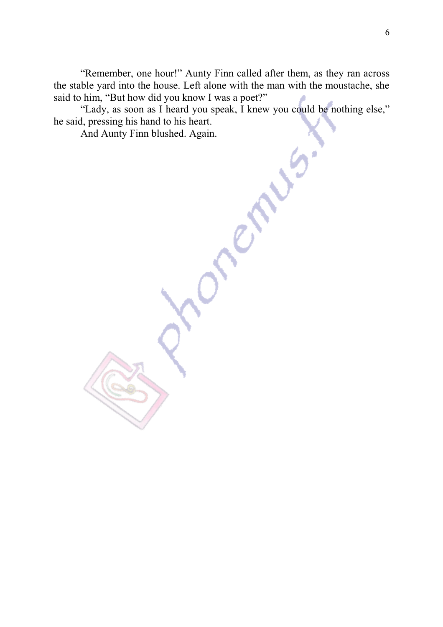"Remember, one hour!" Aunty Finn called after them, as they ran across the stable yard into the house. Left alone with the man with the moustache, she said to him, "But how did you know I was a poet?"

"Lady, as soon as I heard you speak, I knew you could be nothing else," he said, pressing his hand to his heart.

And Aunty Finn blushed. Again.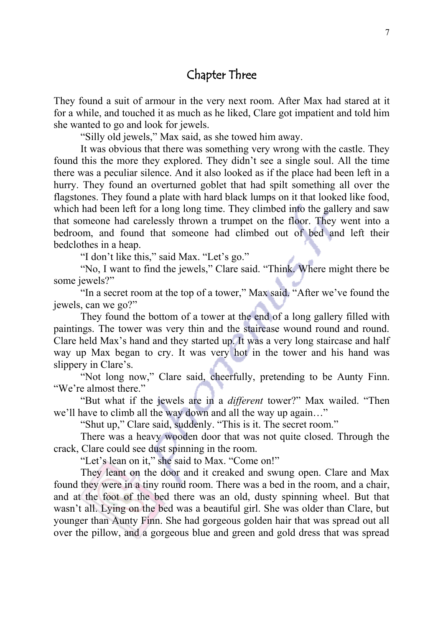### Chapter Three

They found a suit of armour in the very next room. After Max had stared at it for a while, and touched it as much as he liked, Clare got impatient and told him she wanted to go and look for jewels.

"Silly old jewels," Max said, as she towed him away.

It was obvious that there was something very wrong with the castle. They found this the more they explored. They didn't see a single soul. All the time there was a peculiar silence. And it also looked as if the place had been left in a hurry. They found an overturned goblet that had spilt something all over the flagstones. They found a plate with hard black lumps on it that looked like food, which had been left for a long long time. They climbed into the gallery and saw that someone had carelessly thrown a trumpet on the floor. They went into a bedroom, and found that someone had climbed out of bed and left their bedclothes in a heap.

"I don't like this," said Max. "Let's go."

"No, I want to find the jewels," Clare said. "Think. Where might there be some jewels?"

"In a secret room at the top of a tower," Max said. "After we've found the jewels, can we go?"

They found the bottom of a tower at the end of a long gallery filled with paintings. The tower was very thin and the staircase wound round and round. Clare held Max's hand and they started up. It was a very long staircase and half way up Max began to cry. It was very hot in the tower and his hand was slippery in Clare's.

"Not long now," Clare said, cheerfully, pretending to be Aunty Finn. "We're almost there."

"But what if the jewels are in a *different* tower?" Max wailed. "Then we'll have to climb all the way down and all the way up again..."

"Shut up," Clare said, suddenly. "This is it. The secret room."

There was a heavy wooden door that was not quite closed. Through the crack, Clare could see dust spinning in the room.

"Let's lean on it," she said to Max. "Come on!"

They leant on the door and it creaked and swung open. Clare and Max found they were in a tiny round room. There was a bed in the room, and a chair, and at the foot of the bed there was an old, dusty spinning wheel. But that wasn't all. Lying on the bed was a beautiful girl. She was older than Clare, but younger than Aunty Finn. She had gorgeous golden hair that was spread out all over the pillow, and a gorgeous blue and green and gold dress that was spread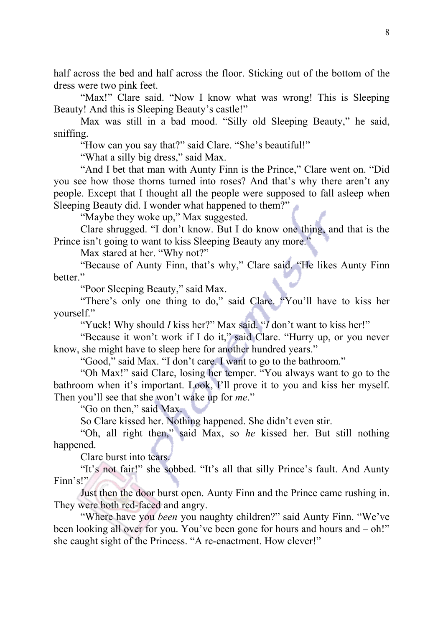half across the bed and half across the floor. Sticking out of the bottom of the dress were two pink feet.

"Max!" Clare said. "Now I know what was wrong! This is Sleeping Beauty! And this is Sleeping Beauty's castle!"

Max was still in a bad mood. "Silly old Sleeping Beauty," he said, sniffing.

"How can you say that?" said Clare. "She's beautiful!"

"What a silly big dress," said Max.

"And I bet that man with Aunty Finn is the Prince," Clare went on. "Did you see how those thorns turned into roses? And that's why there aren't any people. Except that I thought all the people were supposed to fall asleep when Sleeping Beauty did. I wonder what happened to them?"

"Maybe they woke up," Max suggested.

Clare shrugged. "I don't know. But I do know one thing, and that is the Prince isn't going to want to kiss Sleeping Beauty any more."

Max stared at her. "Why not?"

"Because of Aunty Finn, that's why," Clare said. "He likes Aunty Finn better."

"Poor Sleeping Beauty," said Max.

"There's only one thing to do," said Clare. "You'll have to kiss her yourself."

"Yuck! Why should *I* kiss her?" Max said. "*I* don't want to kiss her!"

"Because it won't work if I do it," said Clare. "Hurry up, or you never know, she might have to sleep here for another hundred years."

"Good," said Max. "I don't care. I want to go to the bathroom."

"Oh Max!" said Clare, losing her temper. "You always want to go to the bathroom when it's important. Look, I'll prove it to you and kiss her myself. Then you'll see that she won't wake up for *me*."

"Go on then," said Max.

So Clare kissed her. Nothing happened. She didn't even stir.

"Oh, all right then," said Max, so *he* kissed her. But still nothing happened.

Clare burst into tears.

"It's not fair!" she sobbed. "It's all that silly Prince's fault. And Aunty Finn's!"

Just then the door burst open. Aunty Finn and the Prince came rushing in. They were both red-faced and angry.

"Where have you *been* you naughty children?" said Aunty Finn. "We've been looking all over for you. You've been gone for hours and hours and  $-$  oh!" she caught sight of the Princess. "A re-enactment. How clever!"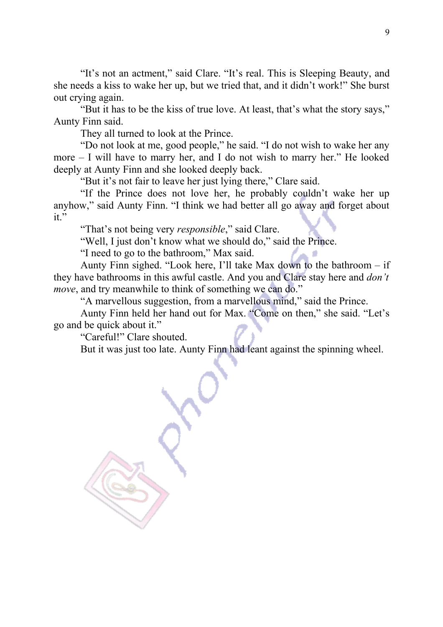"It's not an actment," said Clare. "It's real. This is Sleeping Beauty, and she needs a kiss to wake her up, but we tried that, and it didn't work!" She burst out crying again.

"But it has to be the kiss of true love. At least, that's what the story says," Aunty Finn said.

They all turned to look at the Prince.

"Do not look at me, good people," he said. "I do not wish to wake her any more – I will have to marry her, and I do not wish to marry her." He looked deeply at Aunty Finn and she looked deeply back.

"But it's not fair to leave her just lying there," Clare said.

"If the Prince does not love her, he probably couldn't wake her up anyhow," said Aunty Finn. "I think we had better all go away and forget about it."

"That's not being very *responsible*," said Clare.

"Well, I just don't know what we should do," said the Prince.

"I need to go to the bathroom," Max said.

Aunty Finn sighed. "Look here, I'll take Max down to the bathroom – if they have bathrooms in this awful castle. And you and Clare stay here and *don't move*, and try meanwhile to think of something we can do."

"A marvellous suggestion, from a marvellous mind," said the Prince.

Aunty Finn held her hand out for Max. "Come on then," she said. "Let's go and be quick about it."

"Careful!" Clare shouted.

But it was just too late. Aunty Finn had leant against the spinning wheel.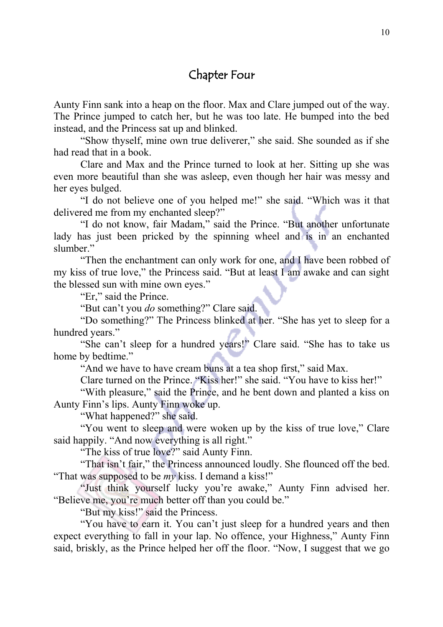#### Chapter Four

Aunty Finn sank into a heap on the floor. Max and Clare jumped out of the way. The Prince jumped to catch her, but he was too late. He bumped into the bed instead, and the Princess sat up and blinked.

"Show thyself, mine own true deliverer," she said. She sounded as if she had read that in a book.

Clare and Max and the Prince turned to look at her. Sitting up she was even more beautiful than she was asleep, even though her hair was messy and her eyes bulged.

"I do not believe one of you helped me!" she said. "Which was it that delivered me from my enchanted sleep?"

"I do not know, fair Madam," said the Prince. "But another unfortunate lady has just been pricked by the spinning wheel and is in an enchanted slumber."

"Then the enchantment can only work for one, and I have been robbed of my kiss of true love," the Princess said. "But at least I am awake and can sight the blessed sun with mine own eyes."

"Er," said the Prince.

"But can't you *do* something?" Clare said.

"Do something?" The Princess blinked at her. "She has yet to sleep for a hundred years."

"She can't sleep for a hundred years!" Clare said. "She has to take us home by bedtime."

"And we have to have cream buns at a tea shop first," said Max.

Clare turned on the Prince. "Kiss her!" she said. "You have to kiss her!"

"With pleasure," said the Prince, and he bent down and planted a kiss on Aunty Finn's lips. Aunty Finn woke up.

"What happened?" she said.

"You went to sleep and were woken up by the kiss of true love," Clare said happily. "And now everything is all right."

"The kiss of true love?" said Aunty Finn.

"That isn't fair," the Princess announced loudly. She flounced off the bed. "That was supposed to be *my* kiss. I demand a kiss!"

"Just think yourself lucky you're awake," Aunty Finn advised her. "Believe me, you're much better off than you could be."

"But my kiss!" said the Princess.

"You have to earn it. You can't just sleep for a hundred years and then expect everything to fall in your lap. No offence, your Highness," Aunty Finn said, briskly, as the Prince helped her off the floor. "Now, I suggest that we go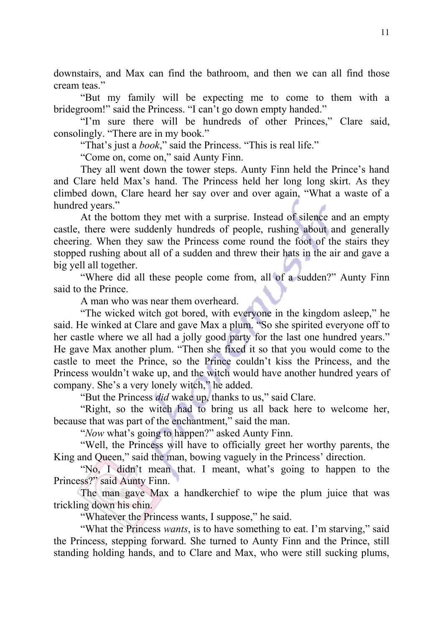downstairs, and Max can find the bathroom, and then we can all find those cream teas."

"But my family will be expecting me to come to them with a bridegroom!" said the Princess. "I can't go down empty handed."

"I'm sure there will be hundreds of other Princes," Clare said, consolingly. "There are in my book."

"That's just a *book*," said the Princess. "This is real life."

"Come on, come on," said Aunty Finn.

They all went down the tower steps. Aunty Finn held the Prince's hand and Clare held Max's hand. The Princess held her long long skirt. As they climbed down, Clare heard her say over and over again, "What a waste of a hundred years."

At the bottom they met with a surprise. Instead of silence and an empty castle, there were suddenly hundreds of people, rushing about and generally cheering. When they saw the Princess come round the foot of the stairs they stopped rushing about all of a sudden and threw their hats in the air and gave a big yell all together.

"Where did all these people come from, all of a sudden?" Aunty Finn said to the Prince.

A man who was near them overheard.

"The wicked witch got bored, with everyone in the kingdom asleep," he said. He winked at Clare and gave Max a plum. "So she spirited everyone off to her castle where we all had a jolly good party for the last one hundred years." He gave Max another plum. "Then she fixed it so that you would come to the castle to meet the Prince, so the Prince couldn't kiss the Princess, and the Princess wouldn't wake up, and the witch would have another hundred years of company. She's a very lonely witch," he added.

"But the Princess *did* wake up, thanks to us," said Clare.

"Right, so the witch had to bring us all back here to welcome her, because that was part of the enchantment," said the man.

"*Now* what's going to happen?" asked Aunty Finn.

"Well, the Princess will have to officially greet her worthy parents, the King and Queen," said the man, bowing vaguely in the Princess' direction.

"No, I didn't mean that. I meant, what's going to happen to the Princess?" said Aunty Finn.

The man gave Max a handkerchief to wipe the plum juice that was trickling down his chin.

"Whatever the Princess wants, I suppose," he said.

"What the Princess *wants*, is to have something to eat. I'm starving," said the Princess, stepping forward. She turned to Aunty Finn and the Prince, still standing holding hands, and to Clare and Max, who were still sucking plums,